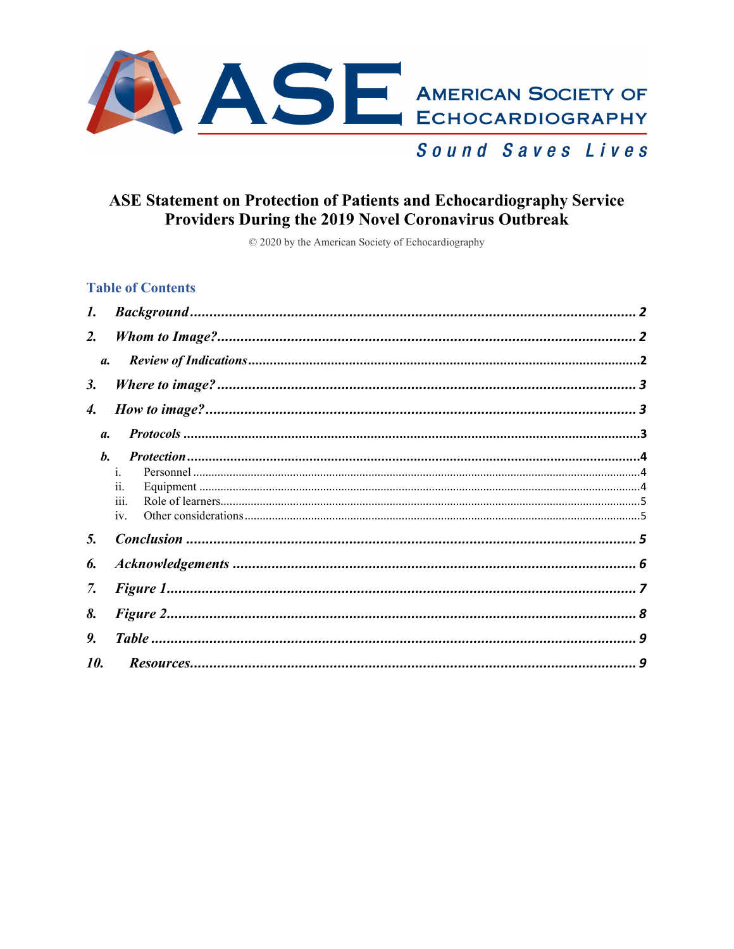

# **ASE Statement on Protection of Patients and Echocardiography Service** Providers During the 2019 Novel Coronavirus Outbreak

© 2020 by the American Society of Echocardiography

#### **Table of Contents**

<span id="page-0-0"></span>

| 1.              |                |  |  |  |  |  |
|-----------------|----------------|--|--|--|--|--|
| $\mathbf{2}$ .  |                |  |  |  |  |  |
| $\mathfrak{a}.$ |                |  |  |  |  |  |
| <i>3</i> .      |                |  |  |  |  |  |
| 4.              |                |  |  |  |  |  |
| <b>a</b> .      |                |  |  |  |  |  |
| b.              |                |  |  |  |  |  |
|                 | $\mathbf{1}$ . |  |  |  |  |  |
|                 | 11.            |  |  |  |  |  |
|                 | 111.           |  |  |  |  |  |
|                 | iv.            |  |  |  |  |  |
| 5.              |                |  |  |  |  |  |
| 6.              |                |  |  |  |  |  |
| 7.              |                |  |  |  |  |  |
| 8.              |                |  |  |  |  |  |
| 9.              |                |  |  |  |  |  |
| 10.             |                |  |  |  |  |  |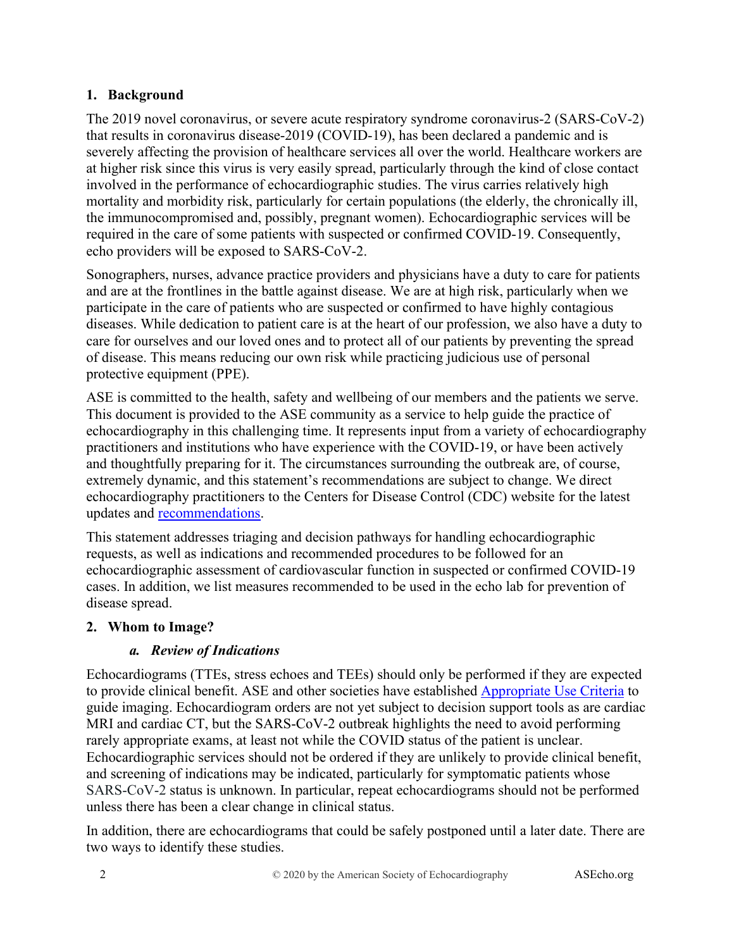#### **1. Background**

The 2019 novel coronavirus, or severe acute respiratory syndrome coronavirus-2 (SARS-CoV-2) that results in coronavirus disease-2019 (COVID-19), has been declared a pandemic and is severely affecting the provision of healthcare services all over the world. Healthcare workers are at higher risk since this virus is very easily spread, particularly through the kind of close contact involved in the performance of echocardiographic studies. The virus carries relatively high mortality and morbidity risk, particularly for certain populations (the elderly, the chronically ill, the immunocompromised and, possibly, pregnant women). Echocardiographic services will be required in the care of some patients with suspected or confirmed COVID-19. Consequently, echo providers will be exposed to SARS-CoV-2.

Sonographers, nurses, advance practice providers and physicians have a duty to care for patients and are at the frontlines in the battle against disease. We are at high risk, particularly when we participate in the care of patients who are suspected or confirmed to have highly contagious diseases. While dedication to patient care is at the heart of our profession, we also have a duty to care for ourselves and our loved ones and to protect all of our patients by preventing the spread of disease. This means reducing our own risk while practicing judicious use of personal protective equipment (PPE).

ASE is committed to the health, safety and wellbeing of our members and the patients we serve. This document is provided to the ASE community as a service to help guide the practice of echocardiography in this challenging time. It represents input from a variety of echocardiography practitioners and institutions who have experience with the COVID-19, or have been actively and thoughtfully preparing for it. The circumstances surrounding the outbreak are, of course, extremely dynamic, and this statement's recommendations are subject to change. We direct echocardiography practitioners to the Centers for Disease Control (CDC) website for the latest updates and [recommendations.](https://www.cdc.gov/coronavirus/2019-ncov/infection-control/control-recommendations.html)

This statement addresses triaging and decision pathways for handling echocardiographic requests, as well as indications and recommended procedures to be followed for an echocardiographic assessment of cardiovascular function in suspected or confirmed COVID-19 cases. In addition, we list measures recommended to be used in the echo lab for prevention of disease spread.

#### <span id="page-1-1"></span><span id="page-1-0"></span>**2. Whom to Image?**

## *a. Review of Indications*

Echocardiograms (TTEs, stress echoes and TEEs) should only be performed if they are expected to provide clinical benefit. ASE and other societies have established [Appropriate Use Criteria](https://www.asecho.org/appropriate-use-criteria/) to guide imaging. Echocardiogram orders are not yet subject to decision support tools as are cardiac MRI and cardiac CT, but the SARS-CoV-2 outbreak highlights the need to avoid performing rarely appropriate exams, at least not while the COVID status of the patient is unclear. Echocardiographic services should not be ordered if they are unlikely to provide clinical benefit, and screening of indications may be indicated, particularly for symptomatic patients whose SARS-CoV-2 status is unknown. In particular, repeat echocardiograms should not be performed unless there has been a clear change in clinical status.

In addition, there are echocardiograms that could be safely postponed until a later date. There are two ways to identify these studies.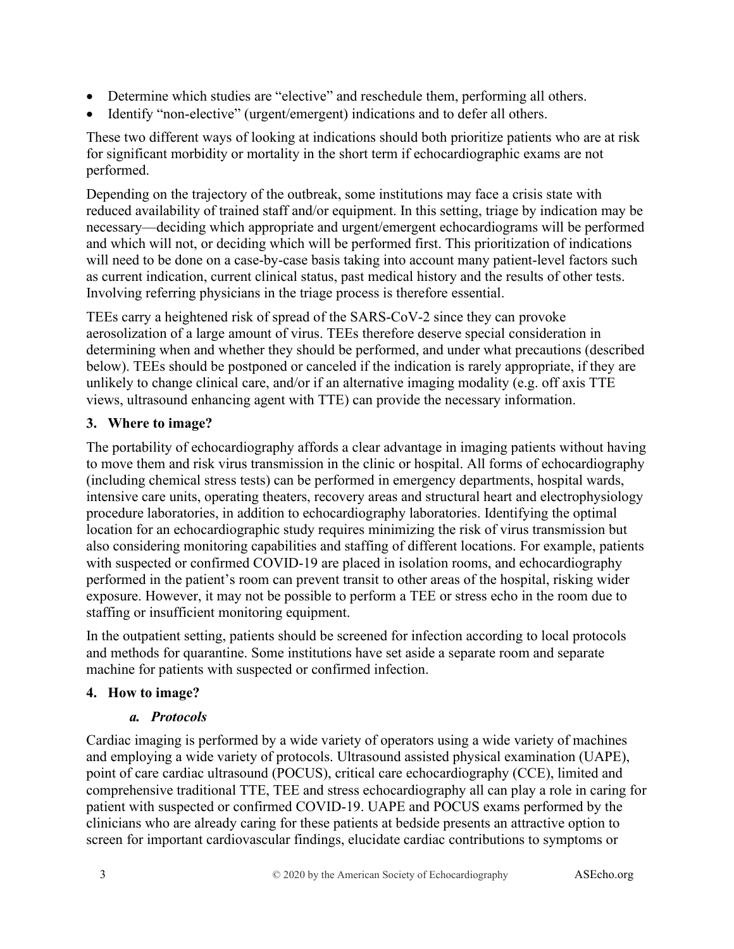- Determine which studies are "elective" and reschedule them, performing all others.
- Identify "non-elective" (urgent/emergent) indications and to defer all others.

These two different ways of looking at indications should both prioritize patients who are at risk for significant morbidity or mortality in the short term if echocardiographic exams are not performed.

Depending on the trajectory of the outbreak, some institutions may face a crisis state with reduced availability of trained staff and/or equipment. In this setting, triage by indication may be necessary—deciding which appropriate and urgent/emergent echocardiograms will be performed and which will not, or deciding which will be performed first. This prioritization of indications will need to be done on a case-by-case basis taking into account many patient-level factors such as current indication, current clinical status, past medical history and the results of other tests. Involving referring physicians in the triage process is therefore essential.

TEEs carry a heightened risk of spread of the SARS-CoV-2 since they can provoke aerosolization of a large amount of virus. TEEs therefore deserve special consideration in determining when and whether they should be performed, and under what precautions (described below). TEEs should be postponed or canceled if the indication is rarely appropriate, if they are unlikely to change clinical care, and/or if an alternative imaging modality (e.g. off axis TTE views, ultrasound enhancing agent with TTE) can provide the necessary information.

#### <span id="page-2-0"></span>**3. Where to image?**

The portability of echocardiography affords a clear advantage in imaging patients without having to move them and risk virus transmission in the clinic or hospital. All forms of echocardiography (including chemical stress tests) can be performed in emergency departments, hospital wards, intensive care units, operating theaters, recovery areas and structural heart and electrophysiology procedure laboratories, in addition to echocardiography laboratories. Identifying the optimal location for an echocardiographic study requires minimizing the risk of virus transmission but also considering monitoring capabilities and staffing of different locations. For example, patients with suspected or confirmed COVID-19 are placed in isolation rooms, and echocardiography performed in the patient's room can prevent transit to other areas of the hospital, risking wider exposure. However, it may not be possible to perform a TEE or stress echo in the room due to staffing or insufficient monitoring equipment.

In the outpatient setting, patients should be screened for infection according to local protocols and methods for quarantine. Some institutions have set aside a separate room and separate machine for patients with suspected or confirmed infection.

#### <span id="page-2-2"></span><span id="page-2-1"></span>**4. How to image?**

#### *a. Protocols*

Cardiac imaging is performed by a wide variety of operators using a wide variety of machines and employing a wide variety of protocols. Ultrasound assisted physical examination (UAPE), point of care cardiac ultrasound (POCUS), critical care echocardiography (CCE), limited and comprehensive traditional TTE, TEE and stress echocardiography all can play a role in caring for patient with suspected or confirmed COVID-19. UAPE and POCUS exams performed by the clinicians who are already caring for these patients at bedside presents an attractive option to screen for important cardiovascular findings, elucidate cardiac contributions to symptoms or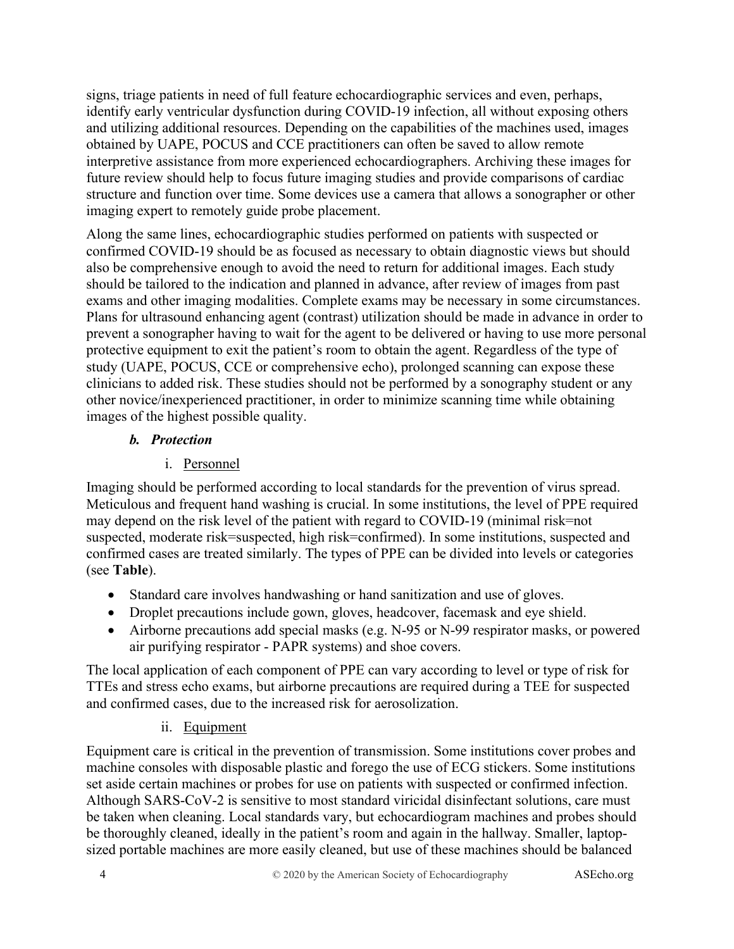signs, triage patients in need of full feature echocardiographic services and even, perhaps, identify early ventricular dysfunction during COVID-19 infection, all without exposing others and utilizing additional resources. Depending on the capabilities of the machines used, images obtained by UAPE, POCUS and CCE practitioners can often be saved to allow remote interpretive assistance from more experienced echocardiographers. Archiving these images for future review should help to focus future imaging studies and provide comparisons of cardiac structure and function over time. Some devices use a camera that allows a sonographer or other imaging expert to remotely guide probe placement.

Along the same lines, echocardiographic studies performed on patients with suspected or confirmed COVID-19 should be as focused as necessary to obtain diagnostic views but should also be comprehensive enough to avoid the need to return for additional images. Each study should be tailored to the indication and planned in advance, after review of images from past exams and other imaging modalities. Complete exams may be necessary in some circumstances. Plans for ultrasound enhancing agent (contrast) utilization should be made in advance in order to prevent a sonographer having to wait for the agent to be delivered or having to use more personal protective equipment to exit the patient's room to obtain the agent. Regardless of the type of study (UAPE, POCUS, CCE or comprehensive echo), prolonged scanning can expose these clinicians to added risk. These studies should not be performed by a sonography student or any other novice/inexperienced practitioner, in order to minimize scanning time while obtaining images of the highest possible quality.

#### <span id="page-3-0"></span>*b. Protection*

## i. Personnel

<span id="page-3-1"></span>Imaging should be performed according to local standards for the prevention of virus spread. Meticulous and frequent hand washing is crucial. In some institutions, the level of PPE required may depend on the risk level of the patient with regard to COVID-19 (minimal risk=not suspected, moderate risk=suspected, high risk=confirmed). In some institutions, suspected and confirmed cases are treated similarly. The types of PPE can be divided into levels or categories (see **Table**).

- Standard care involves handwashing or hand sanitization and use of gloves.
- Droplet precautions include gown, gloves, headcover, facemask and eye shield.
- Airborne precautions add special masks (e.g. N-95 or N-99 respirator masks, or powered air purifying respirator - PAPR systems) and shoe covers.

The local application of each component of PPE can vary according to level or type of risk for TTEs and stress echo exams, but airborne precautions are required during a TEE for suspected and confirmed cases, due to the increased risk for aerosolization.

## ii. Equipment

<span id="page-3-2"></span>Equipment care is critical in the prevention of transmission. Some institutions cover probes and machine consoles with disposable plastic and forego the use of ECG stickers. Some institutions set aside certain machines or probes for use on patients with suspected or confirmed infection. Although SARS-CoV-2 is sensitive to most standard viricidal disinfectant solutions, care must be taken when cleaning. Local standards vary, but echocardiogram machines and probes should be thoroughly cleaned, ideally in the patient's room and again in the hallway. Smaller, laptopsized portable machines are more easily cleaned, but use of these machines should be balanced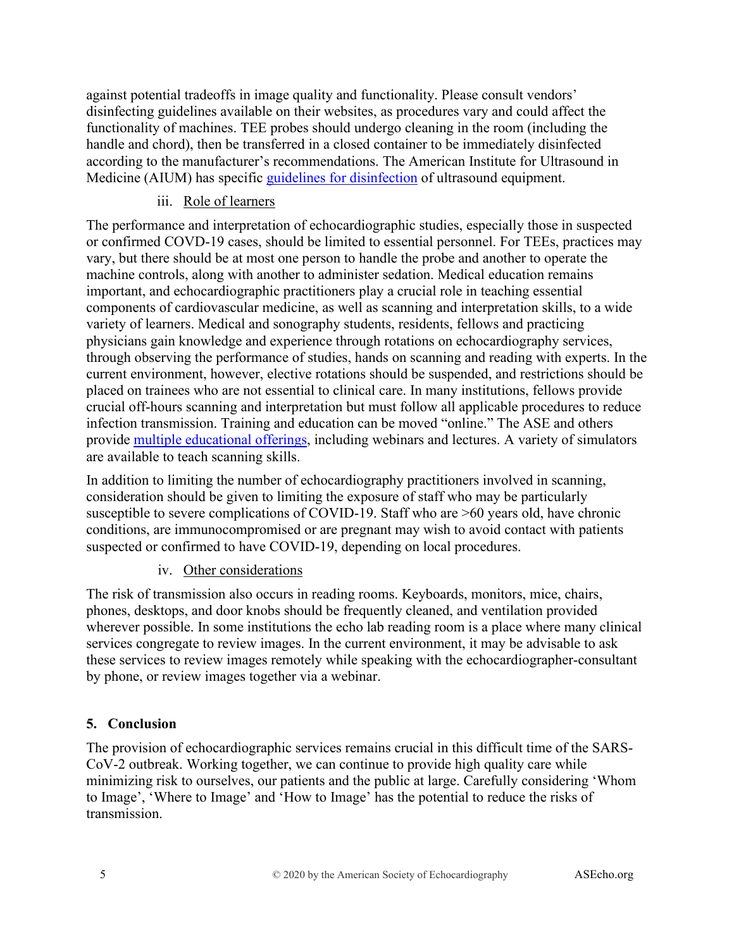against potential tradeoffs in image quality and functionality. Please consult vendors' disinfecting guidelines available on their websites, as procedures vary and could affect the functionality of machines. TEE probes should undergo cleaning in the room (including the handle and chord), then be transferred in a closed container to be immediately disinfected according to the manufacturer's recommendations. The American Institute for Ultrasound in Medicine (AIUM) has specific [guidelines for disinfection](https://www.aium.org/officialStatements/57) of ultrasound equipment.

#### iii. Role of learners

<span id="page-4-0"></span>The performance and interpretation of echocardiographic studies, especially those in suspected or confirmed COVD-19 cases, should be limited to essential personnel. For TEEs, practices may vary, but there should be at most one person to handle the probe and another to operate the machine controls, along with another to administer sedation. Medical education remains important, and echocardiographic practitioners play a crucial role in teaching essential components of cardiovascular medicine, as well as scanning and interpretation skills, to a wide variety of learners. Medical and sonography students, residents, fellows and practicing physicians gain knowledge and experience through rotations on echocardiography services, through observing the performance of studies, hands on scanning and reading with experts. In the current environment, however, elective rotations should be suspended, and restrictions should be placed on trainees who are not essential to clinical care. In many institutions, fellows provide crucial off-hours scanning and interpretation but must follow all applicable procedures to reduce infection transmission. Training and education can be moved "online." The ASE and others provide [multiple educational offerings,](https://aseuniversity.org/ase) including webinars and lectures. A variety of simulators are available to teach scanning skills.

In addition to limiting the number of echocardiography practitioners involved in scanning, consideration should be given to limiting the exposure of staff who may be particularly susceptible to severe complications of COVID-19. Staff who are  $>60$  years old, have chronic conditions, are immunocompromised or are pregnant may wish to avoid contact with patients suspected or confirmed to have COVID-19, depending on local procedures.

#### iv. Other considerations

<span id="page-4-1"></span>The risk of transmission also occurs in reading rooms. Keyboards, monitors, mice, chairs, phones, desktops, and door knobs should be frequently cleaned, and ventilation provided wherever possible. In some institutions the echo lab reading room is a place where many clinical services congregate to review images. In the current environment, it may be advisable to ask these services to review images remotely while speaking with the echocardiographer-consultant by phone, or review images together via a webinar.

## <span id="page-4-2"></span>**5. Conclusion**

The provision of echocardiographic services remains crucial in this difficult time of the SARS-CoV-2 outbreak. Working together, we can continue to provide high quality care while minimizing risk to ourselves, our patients and the public at large. Carefully considering 'Whom to Image', 'Where to Image' and 'How to Image' has the potential to reduce the risks of transmission.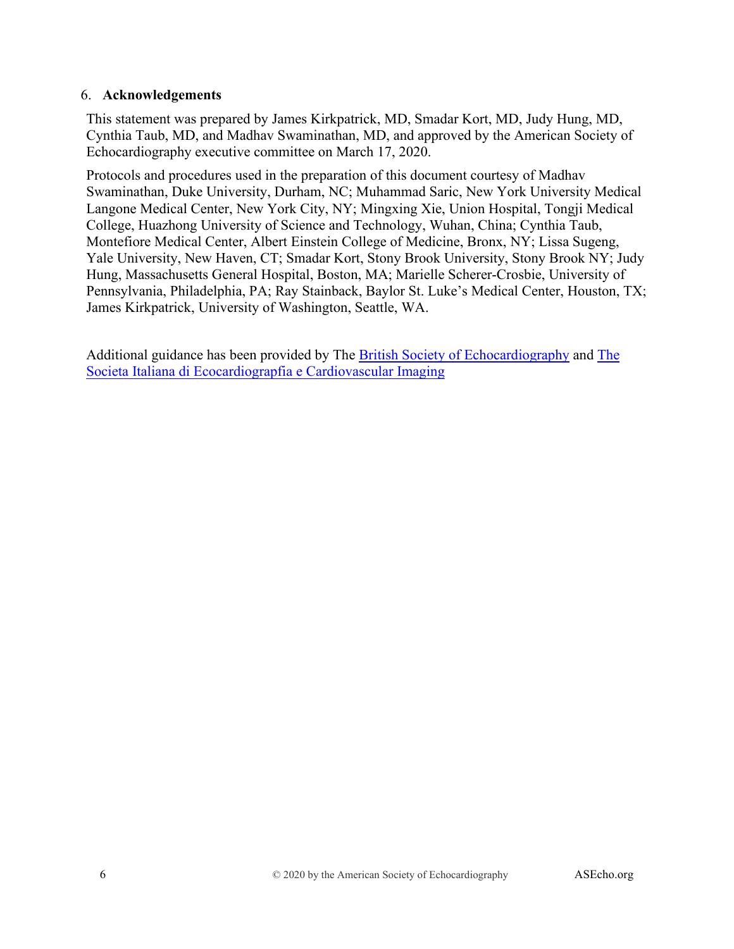#### <span id="page-5-0"></span>6. **Acknowledgements**

This statement was prepared by James Kirkpatrick, MD, Smadar Kort, MD, Judy Hung, MD, Cynthia Taub, MD, and Madhav Swaminathan, MD, and approved by the American Society of Echocardiography executive committee on March 17, 2020.

Protocols and procedures used in the preparation of this document courtesy of Madhav Swaminathan, Duke University, Durham, NC; Muhammad Saric, New York University Medical Langone Medical Center, New York City, NY; Mingxing Xie, Union Hospital, Tongji Medical College, Huazhong University of Science and Technology, Wuhan, China; Cynthia Taub, Montefiore Medical Center, Albert Einstein College of Medicine, Bronx, NY; Lissa Sugeng, Yale University, New Haven, CT; Smadar Kort, Stony Brook University, Stony Brook NY; Judy Hung, Massachusetts General Hospital, Boston, MA; Marielle Scherer-Crosbie, University of Pennsylvania, Philadelphia, PA; Ray Stainback, Baylor St. Luke's Medical Center, Houston, TX; James Kirkpatrick, University of Washington, Seattle, WA.

Additional guidance has been provided by The [British Society of Echocardiography](https://bsecho.org/covid19) and [The](https://www.siec.it/)  [Societa Italiana di Ecocardiograpfia e Cardiovascular Imaging](https://www.siec.it/)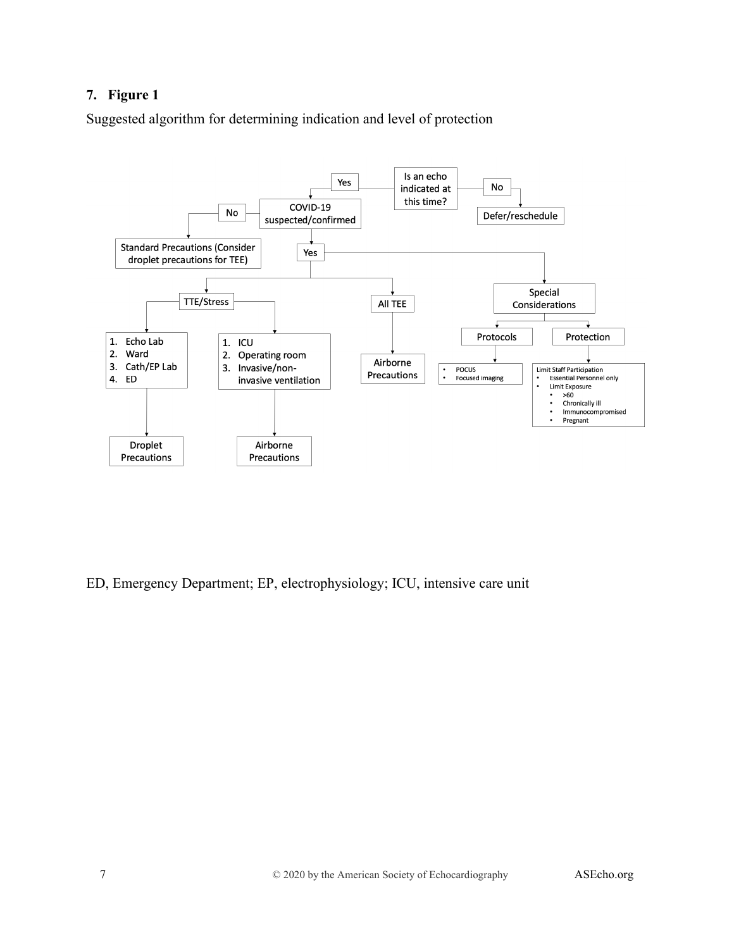#### <span id="page-6-0"></span>**7. Figure 1**

Suggested algorithm for determining indication and level of protection



ED, Emergency Department; EP, electrophysiology; ICU, intensive care unit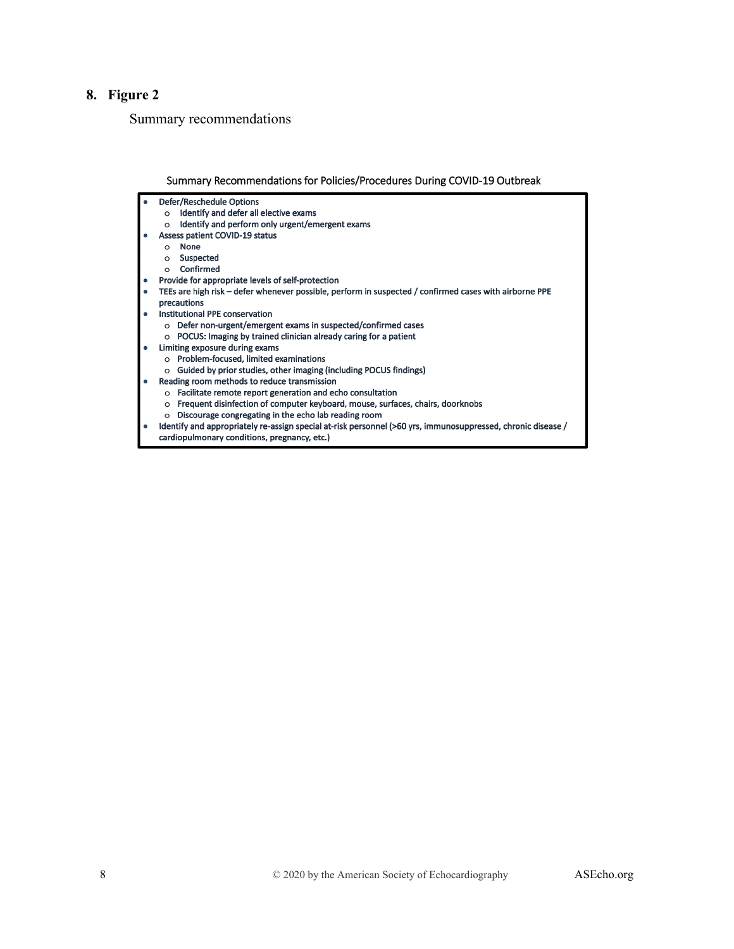#### <span id="page-7-0"></span>8. Figure 2

Summary recommendations

#### Summary Recommendations for Policies/Procedures During COVID-19 Outbreak

Defer/Reschedule Options

- o Identify and defer all elective exams
- o Identify and perform only urgent/emergent exams
- Assess patient COVID-19 status
- o None

 $\bullet$ 

- o Suspected
- o Confirmed
- Provide for appropriate levels of self-protection
- TEEs are high risk defer whenever possible, perform in suspected / confirmed cases with airborne PPE precautions
- Institutional PPE conservation
	- o Defer non-urgent/emergent exams in suspected/confirmed cases
	- o POCUS: Imaging by trained clinician already caring for a patient
	- Limiting exposure during exams
	- o Problem-focused, limited examinations
	- o Guided by prior studies, other imaging (including POCUS findings)
- Reading room methods to reduce transmission
	- o Facilitate remote report generation and echo consultation
	- o Frequent disinfection of computer keyboard, mouse, surfaces, chairs, doorknobs
	- o Discourage congregating in the echo lab reading room
- Identify and appropriately re-assign special at-risk personnel (>60 yrs, immunosuppressed, chronic disease /
- cardiopulmonary conditions, pregnancy, etc.)